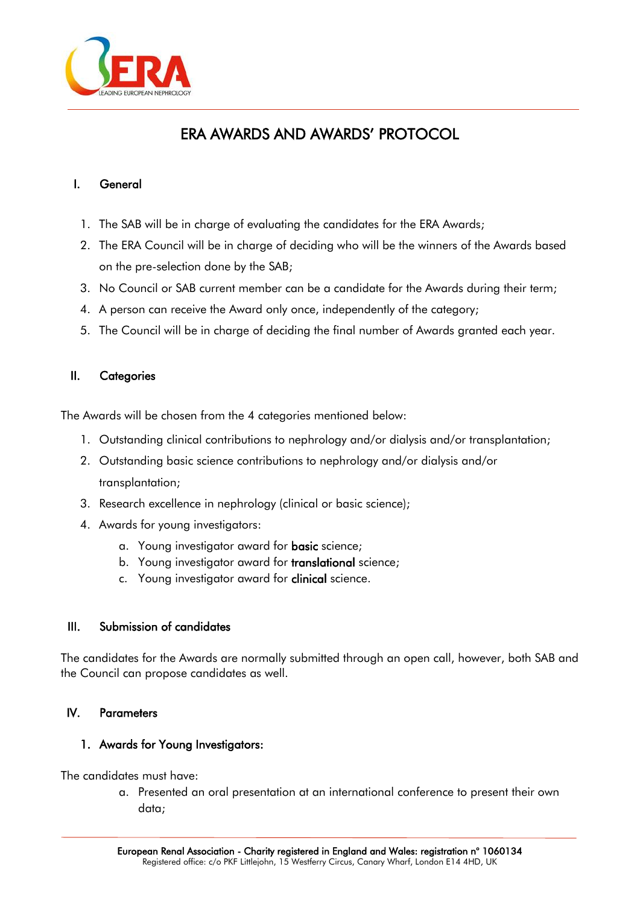

# ERA AWARDS AND AWARDS' PROTOCOL

### I. General

- 1. The SAB will be in charge of evaluating the candidates for the ERA Awards;
- 2. The ERA Council will be in charge of deciding who will be the winners of the Awards based on the pre-selection done by the SAB;
- 3. No Council or SAB current member can be a candidate for the Awards during their term;
- 4. A person can receive the Award only once, independently of the category;
- 5. The Council will be in charge of deciding the final number of Awards granted each year.

### II. Categories

The Awards will be chosen from the 4 categories mentioned below:

- 1. Outstanding clinical contributions to nephrology and/or dialysis and/or transplantation;
- 2. Outstanding basic science contributions to nephrology and/or dialysis and/or transplantation;
- 3. Research excellence in nephrology (clinical or basic science);
- 4. Awards for young investigators:
	- a. Young investigator award for **basic** science;
	- b. Young investigator award for translational science;
	- c. Young investigator award for **clinical** science.

### III. Submission of candidates

The candidates for the Awards are normally submitted through an open call, however, both SAB and the Council can propose candidates as well.

### IV. Parameters

#### 1. Awards for Young Investigators:

The candidates must have:

a. Presented an oral presentation at an international conference to present their own data;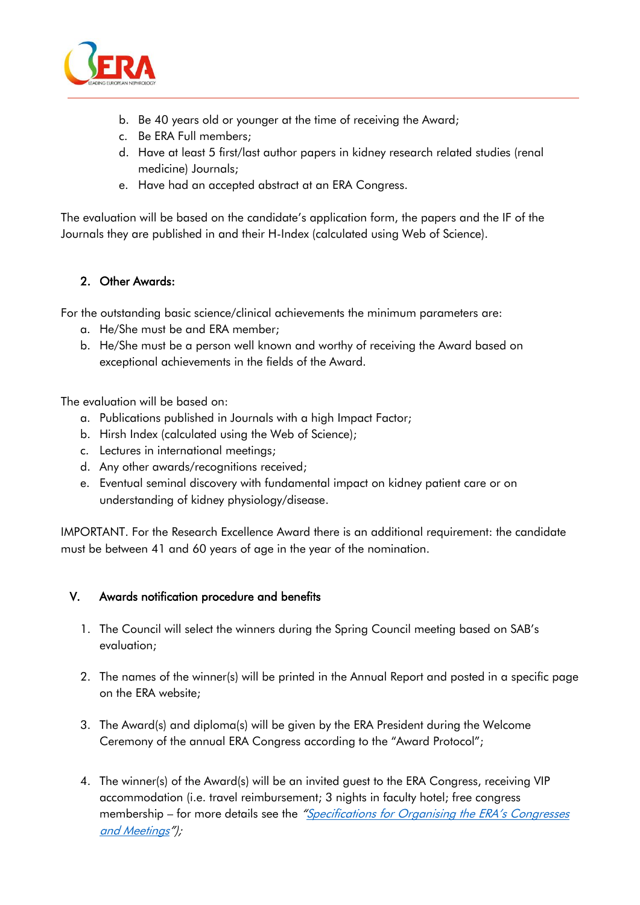

- b. Be 40 years old or younger at the time of receiving the Award;
- c. Be ERA Full members;
- d. Have at least 5 first/last author papers in kidney research related studies (renal medicine) Journals;
- e. Have had an accepted abstract at an ERA Congress.

The evaluation will be based on the candidate's application form, the papers and the IF of the Journals they are published in and their H-Index (calculated using Web of Science).

### 2. Other Awards:

For the outstanding basic science/clinical achievements the minimum parameters are:

- a. He/She must be and ERA member;
- b. He/She must be a person well known and worthy of receiving the Award based on exceptional achievements in the fields of the Award.

The evaluation will be based on:

- a. Publications published in Journals with a high Impact Factor;
- b. Hirsh Index (calculated using the Web of Science);
- c. Lectures in international meetings;
- d. Any other awards/recognitions received;
- e. Eventual seminal discovery with fundamental impact on kidney patient care or on understanding of kidney physiology/disease.

IMPORTANT. For the Research Excellence Award there is an additional requirement: the candidate must be between 41 and 60 years of age in the year of the nomination.

### V. Awards notification procedure and benefits

- 1. The Council will select the winners during the Spring Council meeting based on SAB's evaluation;
- 2. The names of the winner(s) will be printed in the Annual Report and posted in a specific page on the ERA website;
- 3. The Award(s) and diploma(s) will be given by the ERA President during the Welcome Ceremony of the annual ERA Congress according to the "Award Protocol";
- 4. The winner(s) of the Award(s) will be an invited guest to the ERA Congress, receiving VIP accommodation (i.e. travel reimbursement; 3 nights in faculty hotel; free congress membership – for more details see the "Specifications for Organising the ERA's Congresses [and Meetings](https://www.era-edta.org/en/wp-content/uploads/2021/04/Specifications-for-Organising-the-ERA-EDTA’s-Congresses-and-Meetings-2.docx)");